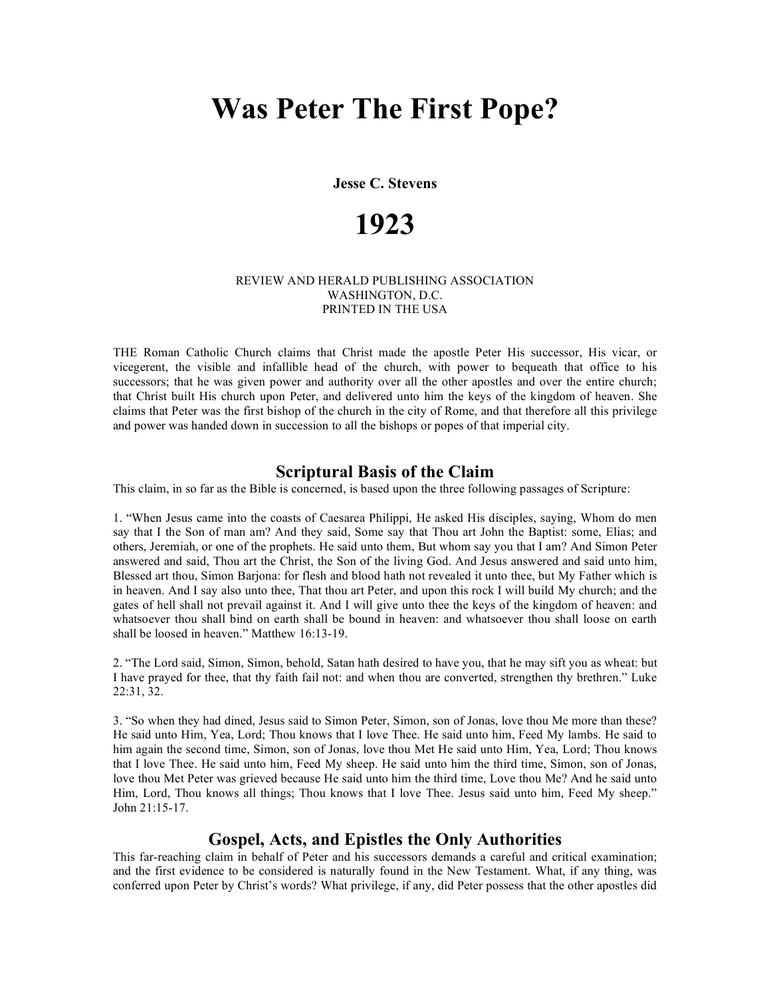**Jesse C. Stevens**

# **1923**

#### REVIEW AND HERALD PUBLISHING ASSOCIATION WASHINGTON, D.C. PRINTED IN THE USA

THE Roman Catholic Church claims that Christ made the apostle Peter His successor, His vicar, or vicegerent, the visible and infallible head of the church, with power to bequeath that office to his successors; that he was given power and authority over all the other apostles and over the entire church; that Christ built His church upon Peter, and delivered unto him the keys of the kingdom of heaven. She claims that Peter was the first bishop of the church in the city of Rome, and that therefore all this privilege and power was handed down in succession to all the bishops or popes of that imperial city.

#### **Scriptural Basis of the Claim**

This claim, in so far as the Bible is concerned, is based upon the three following passages of Scripture:

1. "When Jesus came into the coasts of Caesarea Philippi, He asked His disciples, saying, Whom do men say that I the Son of man am? And they said, Some say that Thou art John the Baptist: some, Elias; and others, Jeremiah, or one of the prophets. He said unto them, But whom say you that I am? And Simon Peter answered and said, Thou art the Christ, the Son of the living God. And Jesus answered and said unto him, Blessed art thou, Simon Barjona: for flesh and blood hath not revealed it unto thee, but My Father which is in heaven. And I say also unto thee, That thou art Peter, and upon this rock I will build My church; and the gates of hell shall not prevail against it. And I will give unto thee the keys of the kingdom of heaven: and whatsoever thou shall bind on earth shall be bound in heaven: and whatsoever thou shall loose on earth shall be loosed in heaven." Matthew 16:13-19.

2. "The Lord said, Simon, Simon, behold, Satan hath desired to have you, that he may sift you as wheat: but I have prayed for thee, that thy faith fail not: and when thou are converted, strengthen thy brethren." Luke 22:31, 32.

3. "So when they had dined, Jesus said to Simon Peter, Simon, son of Jonas, love thou Me more than these? He said unto Him, Yea, Lord; Thou knows that I love Thee. He said unto him, Feed My lambs. He said to him again the second time, Simon, son of Jonas, love thou Met He said unto Him, Yea, Lord; Thou knows that I love Thee. He said unto him, Feed My sheep. He said unto him the third time, Simon, son of Jonas, love thou Met Peter was grieved because He said unto him the third time, Love thou Me? And he said unto Him, Lord, Thou knows all things; Thou knows that I love Thee. Jesus said unto him, Feed My sheep." John 21:15-17.

## **Gospel, Acts, and Epistles the Only Authorities**

This far-reaching claim in behalf of Peter and his successors demands a careful and critical examination; and the first evidence to be considered is naturally found in the New Testament. What, if any thing, was conferred upon Peter by Christ's words? What privilege, if any, did Peter possess that the other apostles did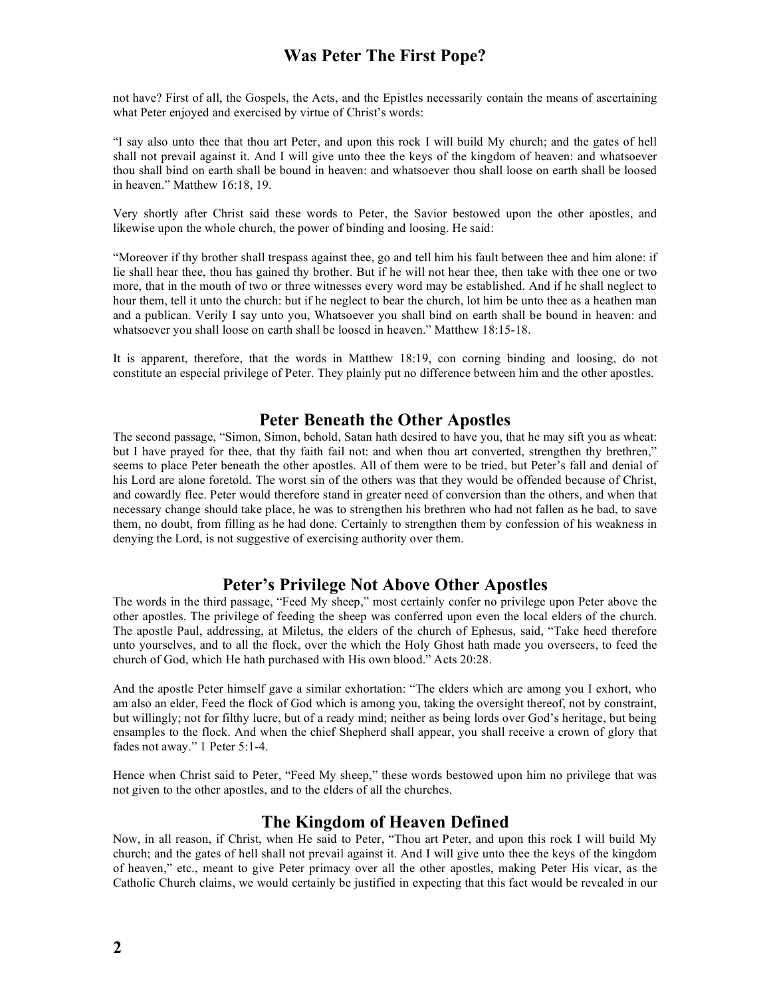not have? First of all, the Gospels, the Acts, and the Epistles necessarily contain the means of ascertaining what Peter enjoyed and exercised by virtue of Christ's words:

"I say also unto thee that thou art Peter, and upon this rock I will build My church; and the gates of hell shall not prevail against it. And I will give unto thee the keys of the kingdom of heaven: and whatsoever thou shall bind on earth shall be bound in heaven: and whatsoever thou shall loose on earth shall be loosed in heaven." Matthew 16:18, 19.

Very shortly after Christ said these words to Peter, the Savior bestowed upon the other apostles, and likewise upon the whole church, the power of binding and loosing. He said:

"Moreover if thy brother shall trespass against thee, go and tell him his fault between thee and him alone: if lie shall hear thee, thou has gained thy brother. But if he will not hear thee, then take with thee one or two more, that in the mouth of two or three witnesses every word may be established. And if he shall neglect to hour them, tell it unto the church: but if he neglect to bear the church, lot him be unto thee as a heathen man and a publican. Verily I say unto you, Whatsoever you shall bind on earth shall be bound in heaven: and whatsoever you shall loose on earth shall be loosed in heaven." Matthew 18:15-18.

It is apparent, therefore, that the words in Matthew 18:19, con corning binding and loosing, do not constitute an especial privilege of Peter. They plainly put no difference between him and the other apostles.

## **Peter Beneath the Other Apostles**

The second passage, "Simon, Simon, behold, Satan hath desired to have you, that he may sift you as wheat: but I have prayed for thee, that thy faith fail not: and when thou art converted, strengthen thy brethren," seems to place Peter beneath the other apostles. All of them were to be tried, but Peter's fall and denial of his Lord are alone foretold. The worst sin of the others was that they would be offended because of Christ, and cowardly flee. Peter would therefore stand in greater need of conversion than the others, and when that necessary change should take place, he was to strengthen his brethren who had not fallen as he bad, to save them, no doubt, from filling as he had done. Certainly to strengthen them by confession of his weakness in denying the Lord, is not suggestive of exercising authority over them.

## **Peter's Privilege Not Above Other Apostles**

The words in the third passage, "Feed My sheep," most certainly confer no privilege upon Peter above the other apostles. The privilege of feeding the sheep was conferred upon even the local elders of the church. The apostle Paul, addressing, at Miletus, the elders of the church of Ephesus, said, "Take heed therefore unto yourselves, and to all the flock, over the which the Holy Ghost hath made you overseers, to feed the church of God, which He hath purchased with His own blood." Acts 20:28.

And the apostle Peter himself gave a similar exhortation: "The elders which are among you I exhort, who am also an elder, Feed the flock of God which is among you, taking the oversight thereof, not by constraint, but willingly; not for filthy lucre, but of a ready mind; neither as being lords over God's heritage, but being ensamples to the flock. And when the chief Shepherd shall appear, you shall receive a crown of glory that fades not away." 1 Peter 5:1-4.

Hence when Christ said to Peter, "Feed My sheep," these words bestowed upon him no privilege that was not given to the other apostles, and to the elders of all the churches.

#### **The Kingdom of Heaven Defined**

Now, in all reason, if Christ, when He said to Peter, "Thou art Peter, and upon this rock I will build My church; and the gates of hell shall not prevail against it. And I will give unto thee the keys of the kingdom of heaven," etc., meant to give Peter primacy over all the other apostles, making Peter His vicar, as the Catholic Church claims, we would certainly be justified in expecting that this fact would be revealed in our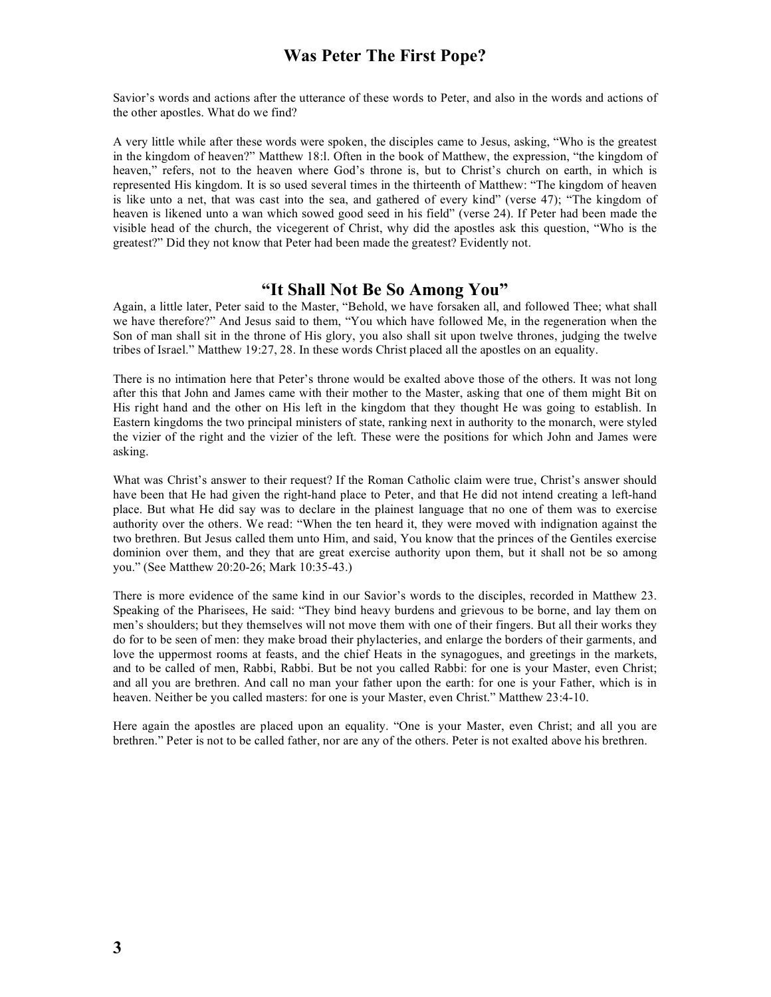Savior's words and actions after the utterance of these words to Peter, and also in the words and actions of the other apostles. What do we find?

A very little while after these words were spoken, the disciples came to Jesus, asking, "Who is the greatest in the kingdom of heaven?" Matthew 18:l. Often in the book of Matthew, the expression, "the kingdom of heaven," refers, not to the heaven where God's throne is, but to Christ's church on earth, in which is represented His kingdom. It is so used several times in the thirteenth of Matthew: "The kingdom of heaven is like unto a net, that was cast into the sea, and gathered of every kind" (verse 47); "The kingdom of heaven is likened unto a wan which sowed good seed in his field" (verse 24). If Peter had been made the visible head of the church, the vicegerent of Christ, why did the apostles ask this question, "Who is the greatest?" Did they not know that Peter had been made the greatest? Evidently not.

## **"It Shall Not Be So Among You"**

Again, a little later, Peter said to the Master, "Behold, we have forsaken all, and followed Thee; what shall we have therefore?" And Jesus said to them, "You which have followed Me, in the regeneration when the Son of man shall sit in the throne of His glory, you also shall sit upon twelve thrones, judging the twelve tribes of Israel." Matthew 19:27, 28. In these words Christ placed all the apostles on an equality.

There is no intimation here that Peter's throne would be exalted above those of the others. It was not long after this that John and James came with their mother to the Master, asking that one of them might Bit on His right hand and the other on His left in the kingdom that they thought He was going to establish. In Eastern kingdoms the two principal ministers of state, ranking next in authority to the monarch, were styled the vizier of the right and the vizier of the left. These were the positions for which John and James were asking.

What was Christ's answer to their request? If the Roman Catholic claim were true, Christ's answer should have been that He had given the right-hand place to Peter, and that He did not intend creating a left-hand place. But what He did say was to declare in the plainest language that no one of them was to exercise authority over the others. We read: "When the ten heard it, they were moved with indignation against the two brethren. But Jesus called them unto Him, and said, You know that the princes of the Gentiles exercise dominion over them, and they that are great exercise authority upon them, but it shall not be so among you." (See Matthew 20:20-26; Mark 10:35-43.)

There is more evidence of the same kind in our Savior's words to the disciples, recorded in Matthew 23. Speaking of the Pharisees, He said: "They bind heavy burdens and grievous to be borne, and lay them on men's shoulders; but they themselves will not move them with one of their fingers. But all their works they do for to be seen of men: they make broad their phylacteries, and enlarge the borders of their garments, and love the uppermost rooms at feasts, and the chief Heats in the synagogues, and greetings in the markets, and to be called of men, Rabbi, Rabbi. But be not you called Rabbi: for one is your Master, even Christ; and all you are brethren. And call no man your father upon the earth: for one is your Father, which is in heaven. Neither be you called masters: for one is your Master, even Christ." Matthew 23:4-10.

Here again the apostles are placed upon an equality. "One is your Master, even Christ; and all you are brethren." Peter is not to be called father, nor are any of the others. Peter is not exalted above his brethren.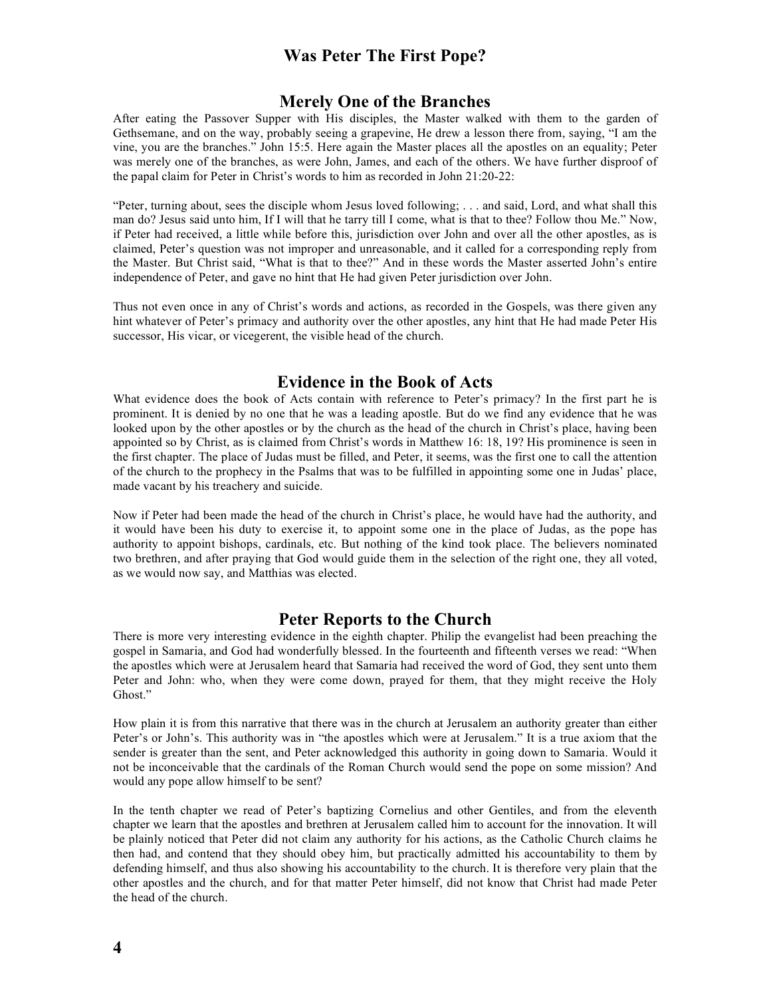#### **Merely One of the Branches**

After eating the Passover Supper with His disciples, the Master walked with them to the garden of Gethsemane, and on the way, probably seeing a grapevine, He drew a lesson there from, saying, "I am the vine, you are the branches." John 15:5. Here again the Master places all the apostles on an equality; Peter was merely one of the branches, as were John, James, and each of the others. We have further disproof of the papal claim for Peter in Christ's words to him as recorded in John 21:20-22:

"Peter, turning about, sees the disciple whom Jesus loved following; . . . and said, Lord, and what shall this man do? Jesus said unto him, If I will that he tarry till I come, what is that to thee? Follow thou Me." Now, if Peter had received, a little while before this, jurisdiction over John and over all the other apostles, as is claimed, Peter's question was not improper and unreasonable, and it called for a corresponding reply from the Master. But Christ said, "What is that to thee?" And in these words the Master asserted John's entire independence of Peter, and gave no hint that He had given Peter jurisdiction over John.

Thus not even once in any of Christ's words and actions, as recorded in the Gospels, was there given any hint whatever of Peter's primacy and authority over the other apostles, any hint that He had made Peter His successor, His vicar, or vicegerent, the visible head of the church.

## **Evidence in the Book of Acts**

What evidence does the book of Acts contain with reference to Peter's primacy? In the first part he is prominent. It is denied by no one that he was a leading apostle. But do we find any evidence that he was looked upon by the other apostles or by the church as the head of the church in Christ's place, having been appointed so by Christ, as is claimed from Christ's words in Matthew 16: 18, 19? His prominence is seen in the first chapter. The place of Judas must be filled, and Peter, it seems, was the first one to call the attention of the church to the prophecy in the Psalms that was to be fulfilled in appointing some one in Judas' place, made vacant by his treachery and suicide.

Now if Peter had been made the head of the church in Christ's place, he would have had the authority, and it would have been his duty to exercise it, to appoint some one in the place of Judas, as the pope has authority to appoint bishops, cardinals, etc. But nothing of the kind took place. The believers nominated two brethren, and after praying that God would guide them in the selection of the right one, they all voted, as we would now say, and Matthias was elected.

#### **Peter Reports to the Church**

There is more very interesting evidence in the eighth chapter. Philip the evangelist had been preaching the gospel in Samaria, and God had wonderfully blessed. In the fourteenth and fifteenth verses we read: "When the apostles which were at Jerusalem heard that Samaria had received the word of God, they sent unto them Peter and John: who, when they were come down, prayed for them, that they might receive the Holy Ghost."

How plain it is from this narrative that there was in the church at Jerusalem an authority greater than either Peter's or John's. This authority was in "the apostles which were at Jerusalem." It is a true axiom that the sender is greater than the sent, and Peter acknowledged this authority in going down to Samaria. Would it not be inconceivable that the cardinals of the Roman Church would send the pope on some mission? And would any pope allow himself to be sent?

In the tenth chapter we read of Peter's baptizing Cornelius and other Gentiles, and from the eleventh chapter we learn that the apostles and brethren at Jerusalem called him to account for the innovation. It will be plainly noticed that Peter did not claim any authority for his actions, as the Catholic Church claims he then had, and contend that they should obey him, but practically admitted his accountability to them by defending himself, and thus also showing his accountability to the church. It is therefore very plain that the other apostles and the church, and for that matter Peter himself, did not know that Christ had made Peter the head of the church.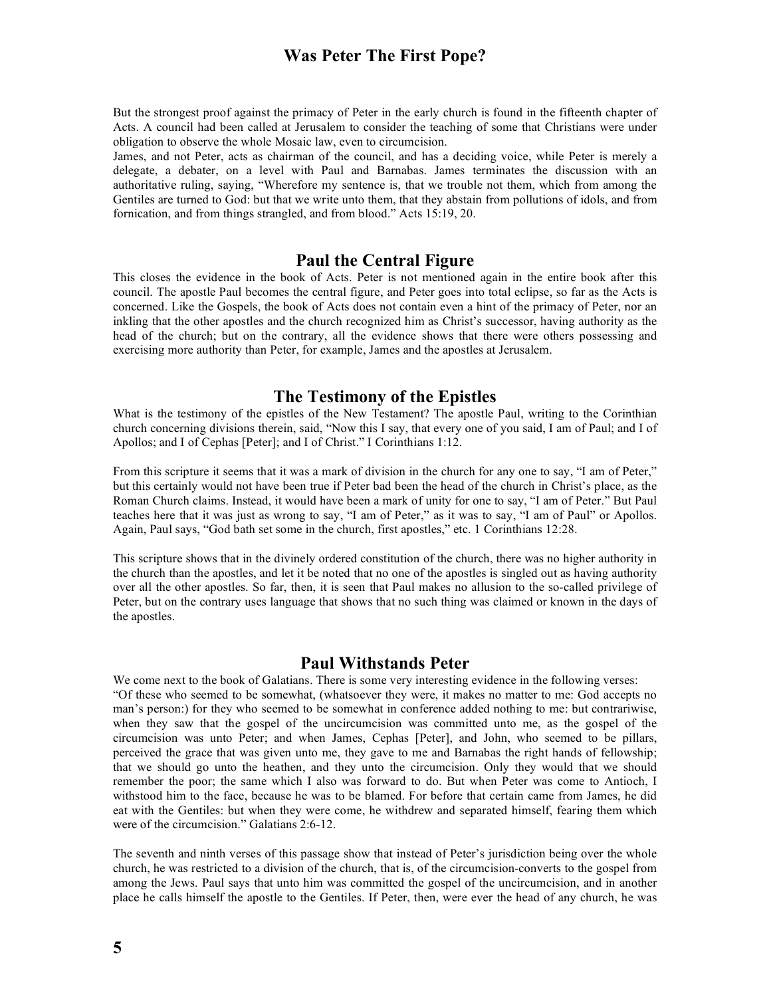But the strongest proof against the primacy of Peter in the early church is found in the fifteenth chapter of Acts. A council had been called at Jerusalem to consider the teaching of some that Christians were under obligation to observe the whole Mosaic law, even to circumcision.

James, and not Peter, acts as chairman of the council, and has a deciding voice, while Peter is merely a delegate, a debater, on a level with Paul and Barnabas. James terminates the discussion with an authoritative ruling, saying, "Wherefore my sentence is, that we trouble not them, which from among the Gentiles are turned to God: but that we write unto them, that they abstain from pollutions of idols, and from fornication, and from things strangled, and from blood." Acts 15:19, 20.

#### **Paul the Central Figure**

This closes the evidence in the book of Acts. Peter is not mentioned again in the entire book after this council. The apostle Paul becomes the central figure, and Peter goes into total eclipse, so far as the Acts is concerned. Like the Gospels, the book of Acts does not contain even a hint of the primacy of Peter, nor an inkling that the other apostles and the church recognized him as Christ's successor, having authority as the head of the church; but on the contrary, all the evidence shows that there were others possessing and exercising more authority than Peter, for example, James and the apostles at Jerusalem.

#### **The Testimony of the Epistles**

What is the testimony of the epistles of the New Testament? The apostle Paul, writing to the Corinthian church concerning divisions therein, said, "Now this I say, that every one of you said, I am of Paul; and I of Apollos; and I of Cephas [Peter]; and I of Christ." I Corinthians 1:12.

From this scripture it seems that it was a mark of division in the church for any one to say, "I am of Peter," but this certainly would not have been true if Peter bad been the head of the church in Christ's place, as the Roman Church claims. Instead, it would have been a mark of unity for one to say, "I am of Peter." But Paul teaches here that it was just as wrong to say, "I am of Peter," as it was to say, "I am of Paul" or Apollos. Again, Paul says, "God bath set some in the church, first apostles," etc. 1 Corinthians 12:28.

This scripture shows that in the divinely ordered constitution of the church, there was no higher authority in the church than the apostles, and let it be noted that no one of the apostles is singled out as having authority over all the other apostles. So far, then, it is seen that Paul makes no allusion to the so-called privilege of Peter, but on the contrary uses language that shows that no such thing was claimed or known in the days of the apostles.

#### **Paul Withstands Peter**

We come next to the book of Galatians. There is some very interesting evidence in the following verses: "Of these who seemed to be somewhat, (whatsoever they were, it makes no matter to me: God accepts no man's person:) for they who seemed to be somewhat in conference added nothing to me: but contrariwise, when they saw that the gospel of the uncircumcision was committed unto me, as the gospel of the circumcision was unto Peter; and when James, Cephas [Peter], and John, who seemed to be pillars, perceived the grace that was given unto me, they gave to me and Barnabas the right hands of fellowship; that we should go unto the heathen, and they unto the circumcision. Only they would that we should remember the poor; the same which I also was forward to do. But when Peter was come to Antioch, I withstood him to the face, because he was to be blamed. For before that certain came from James, he did eat with the Gentiles: but when they were come, he withdrew and separated himself, fearing them which were of the circumcision." Galatians 2:6-12.

The seventh and ninth verses of this passage show that instead of Peter's jurisdiction being over the whole church, he was restricted to a division of the church, that is, of the circumcision-converts to the gospel from among the Jews. Paul says that unto him was committed the gospel of the uncircumcision, and in another place he calls himself the apostle to the Gentiles. If Peter, then, were ever the head of any church, he was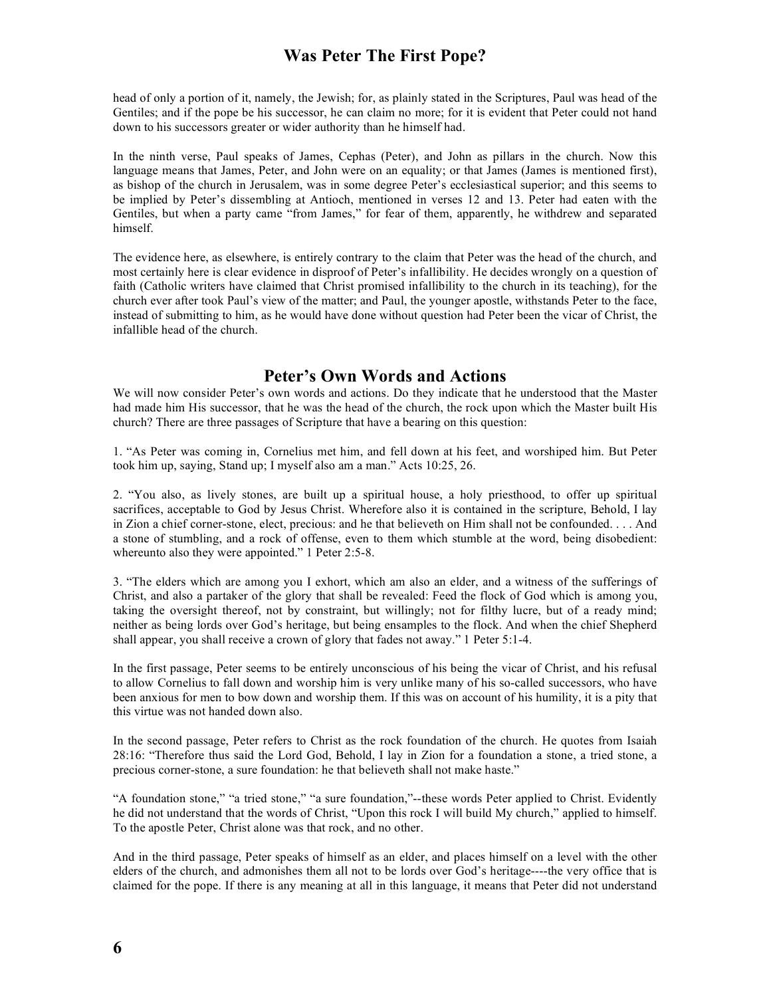head of only a portion of it, namely, the Jewish; for, as plainly stated in the Scriptures, Paul was head of the Gentiles; and if the pope be his successor, he can claim no more; for it is evident that Peter could not hand down to his successors greater or wider authority than he himself had.

In the ninth verse, Paul speaks of James, Cephas (Peter), and John as pillars in the church. Now this language means that James, Peter, and John were on an equality; or that James (James is mentioned first), as bishop of the church in Jerusalem, was in some degree Peter's ecclesiastical superior; and this seems to be implied by Peter's dissembling at Antioch, mentioned in verses 12 and 13. Peter had eaten with the Gentiles, but when a party came "from James," for fear of them, apparently, he withdrew and separated himself.

The evidence here, as elsewhere, is entirely contrary to the claim that Peter was the head of the church, and most certainly here is clear evidence in disproof of Peter's infallibility. He decides wrongly on a question of faith (Catholic writers have claimed that Christ promised infallibility to the church in its teaching), for the church ever after took Paul's view of the matter; and Paul, the younger apostle, withstands Peter to the face, instead of submitting to him, as he would have done without question had Peter been the vicar of Christ, the infallible head of the church.

## **Peter's Own Words and Actions**

We will now consider Peter's own words and actions. Do they indicate that he understood that the Master had made him His successor, that he was the head of the church, the rock upon which the Master built His church? There are three passages of Scripture that have a bearing on this question:

1. "As Peter was coming in, Cornelius met him, and fell down at his feet, and worshiped him. But Peter took him up, saying, Stand up; I myself also am a man." Acts 10:25, 26.

2. "You also, as lively stones, are built up a spiritual house, a holy priesthood, to offer up spiritual sacrifices, acceptable to God by Jesus Christ. Wherefore also it is contained in the scripture, Behold, I lay in Zion a chief corner-stone, elect, precious: and he that believeth on Him shall not be confounded. . . . And a stone of stumbling, and a rock of offense, even to them which stumble at the word, being disobedient: whereunto also they were appointed." 1 Peter 2:5-8.

3. "The elders which are among you I exhort, which am also an elder, and a witness of the sufferings of Christ, and also a partaker of the glory that shall be revealed: Feed the flock of God which is among you, taking the oversight thereof, not by constraint, but willingly; not for filthy lucre, but of a ready mind; neither as being lords over God's heritage, but being ensamples to the flock. And when the chief Shepherd shall appear, you shall receive a crown of glory that fades not away." 1 Peter 5:1-4.

In the first passage, Peter seems to be entirely unconscious of his being the vicar of Christ, and his refusal to allow Cornelius to fall down and worship him is very unlike many of his so-called successors, who have been anxious for men to bow down and worship them. If this was on account of his humility, it is a pity that this virtue was not handed down also.

In the second passage, Peter refers to Christ as the rock foundation of the church. He quotes from Isaiah 28:16: "Therefore thus said the Lord God, Behold, I lay in Zion for a foundation a stone, a tried stone, a precious corner-stone, a sure foundation: he that believeth shall not make haste."

"A foundation stone," "a tried stone," "a sure foundation,"--these words Peter applied to Christ. Evidently he did not understand that the words of Christ, "Upon this rock I will build My church," applied to himself. To the apostle Peter, Christ alone was that rock, and no other.

And in the third passage, Peter speaks of himself as an elder, and places himself on a level with the other elders of the church, and admonishes them all not to be lords over God's heritage----the very office that is claimed for the pope. If there is any meaning at all in this language, it means that Peter did not understand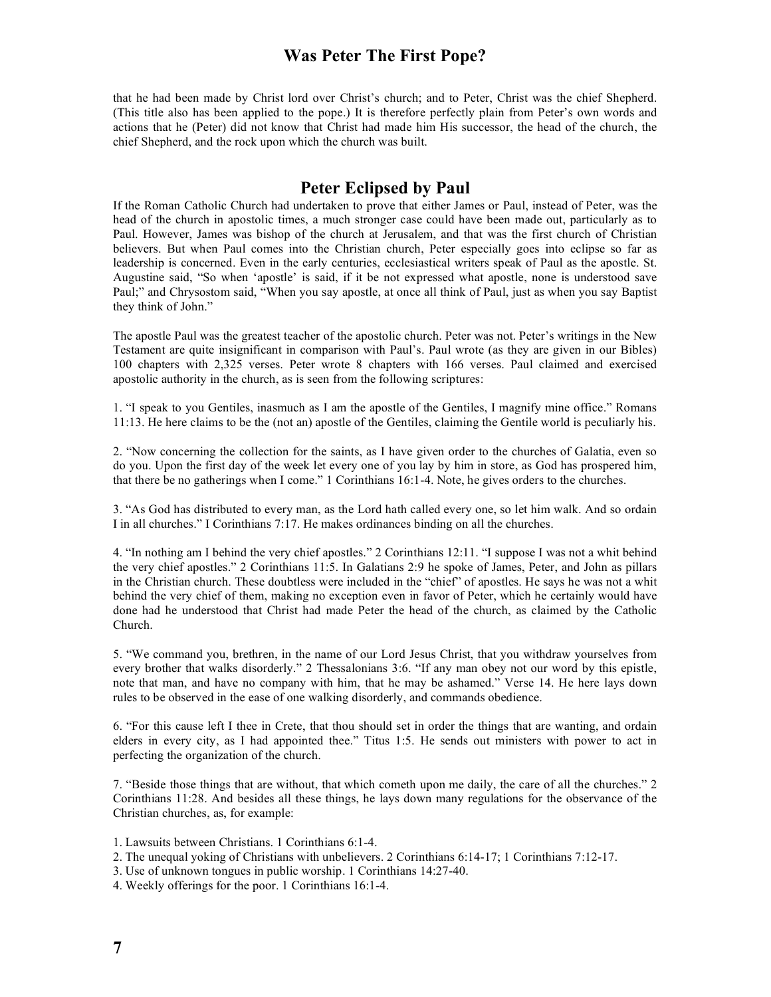that he had been made by Christ lord over Christ's church; and to Peter, Christ was the chief Shepherd. (This title also has been applied to the pope.) It is therefore perfectly plain from Peter's own words and actions that he (Peter) did not know that Christ had made him His successor, the head of the church, the chief Shepherd, and the rock upon which the church was built.

#### **Peter Eclipsed by Paul**

If the Roman Catholic Church had undertaken to prove that either James or Paul, instead of Peter, was the head of the church in apostolic times, a much stronger case could have been made out, particularly as to Paul. However, James was bishop of the church at Jerusalem, and that was the first church of Christian believers. But when Paul comes into the Christian church, Peter especially goes into eclipse so far as leadership is concerned. Even in the early centuries, ecclesiastical writers speak of Paul as the apostle. St. Augustine said, "So when 'apostle' is said, if it be not expressed what apostle, none is understood save Paul;" and Chrysostom said, "When you say apostle, at once all think of Paul, just as when you say Baptist they think of John."

The apostle Paul was the greatest teacher of the apostolic church. Peter was not. Peter's writings in the New Testament are quite insignificant in comparison with Paul's. Paul wrote (as they are given in our Bibles) 100 chapters with 2,325 verses. Peter wrote 8 chapters with 166 verses. Paul claimed and exercised apostolic authority in the church, as is seen from the following scriptures:

1. "I speak to you Gentiles, inasmuch as I am the apostle of the Gentiles, I magnify mine office." Romans 11:13. He here claims to be the (not an) apostle of the Gentiles, claiming the Gentile world is peculiarly his.

2. "Now concerning the collection for the saints, as I have given order to the churches of Galatia, even so do you. Upon the first day of the week let every one of you lay by him in store, as God has prospered him, that there be no gatherings when I come." 1 Corinthians 16:1-4. Note, he gives orders to the churches.

3. "As God has distributed to every man, as the Lord hath called every one, so let him walk. And so ordain I in all churches." I Corinthians 7:17. He makes ordinances binding on all the churches.

4. "In nothing am I behind the very chief apostles." 2 Corinthians 12:11. "I suppose I was not a whit behind the very chief apostles." 2 Corinthians 11:5. In Galatians 2:9 he spoke of James, Peter, and John as pillars in the Christian church. These doubtless were included in the "chief" of apostles. He says he was not a whit behind the very chief of them, making no exception even in favor of Peter, which he certainly would have done had he understood that Christ had made Peter the head of the church, as claimed by the Catholic Church.

5. "We command you, brethren, in the name of our Lord Jesus Christ, that you withdraw yourselves from every brother that walks disorderly." 2 Thessalonians 3:6. "If any man obey not our word by this epistle, note that man, and have no company with him, that he may be ashamed." Verse 14. He here lays down rules to be observed in the ease of one walking disorderly, and commands obedience.

6. "For this cause left I thee in Crete, that thou should set in order the things that are wanting, and ordain elders in every city, as I had appointed thee." Titus 1:5. He sends out ministers with power to act in perfecting the organization of the church.

7. "Beside those things that are without, that which cometh upon me daily, the care of all the churches." 2 Corinthians 11:28. And besides all these things, he lays down many regulations for the observance of the Christian churches, as, for example:

- 1. Lawsuits between Christians. 1 Corinthians 6:1-4.
- 2. The unequal yoking of Christians with unbelievers. 2 Corinthians 6:14-17; 1 Corinthians 7:12-17.
- 3. Use of unknown tongues in public worship. 1 Corinthians 14:27-40.
- 4. Weekly offerings for the poor. 1 Corinthians 16:1-4.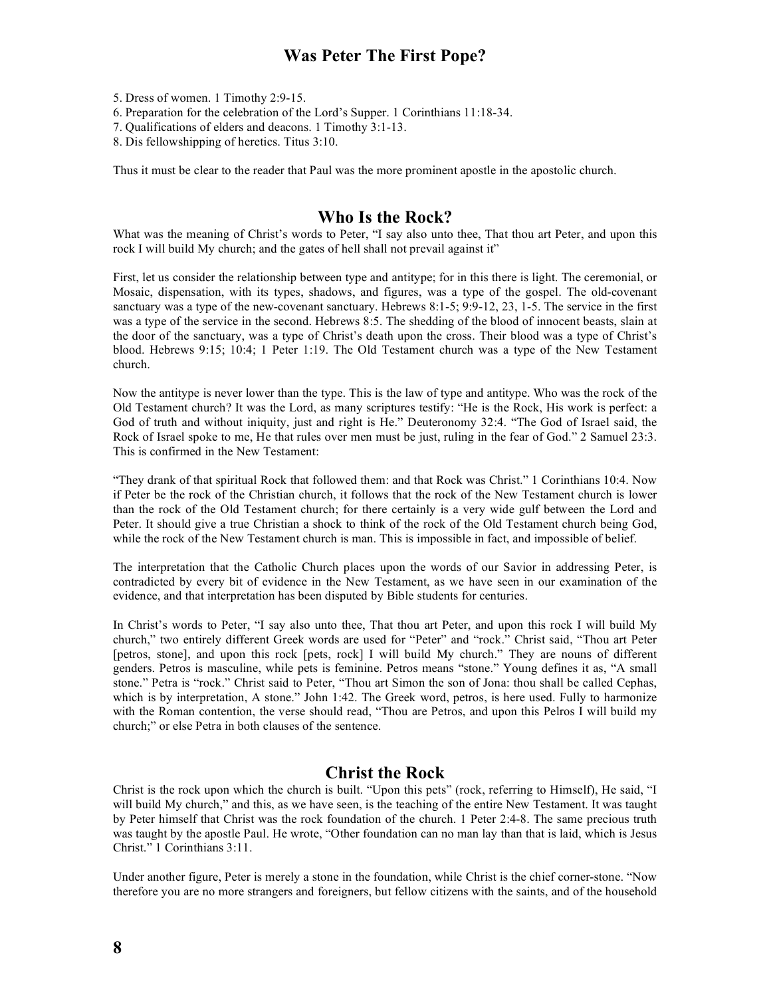5. Dress of women. 1 Timothy 2:9-15.

6. Preparation for the celebration of the Lord's Supper. 1 Corinthians 11:18-34.

7. Qualifications of elders and deacons. 1 Timothy 3:1-13.

8. Dis fellowshipping of heretics. Titus 3:10.

Thus it must be clear to the reader that Paul was the more prominent apostle in the apostolic church.

## **Who Is the Rock?**

What was the meaning of Christ's words to Peter, "I say also unto thee, That thou art Peter, and upon this rock I will build My church; and the gates of hell shall not prevail against it"

First, let us consider the relationship between type and antitype; for in this there is light. The ceremonial, or Mosaic, dispensation, with its types, shadows, and figures, was a type of the gospel. The old-covenant sanctuary was a type of the new-covenant sanctuary. Hebrews 8:1-5; 9:9-12, 23, 1-5. The service in the first was a type of the service in the second. Hebrews 8:5. The shedding of the blood of innocent beasts, slain at the door of the sanctuary, was a type of Christ's death upon the cross. Their blood was a type of Christ's blood. Hebrews 9:15; 10:4; 1 Peter 1:19. The Old Testament church was a type of the New Testament church.

Now the antitype is never lower than the type. This is the law of type and antitype. Who was the rock of the Old Testament church? It was the Lord, as many scriptures testify: "He is the Rock, His work is perfect: a God of truth and without iniquity, just and right is He." Deuteronomy 32:4. "The God of Israel said, the Rock of Israel spoke to me, He that rules over men must be just, ruling in the fear of God." 2 Samuel 23:3. This is confirmed in the New Testament:

"They drank of that spiritual Rock that followed them: and that Rock was Christ." 1 Corinthians 10:4. Now if Peter be the rock of the Christian church, it follows that the rock of the New Testament church is lower than the rock of the Old Testament church; for there certainly is a very wide gulf between the Lord and Peter. It should give a true Christian a shock to think of the rock of the Old Testament church being God, while the rock of the New Testament church is man. This is impossible in fact, and impossible of belief.

The interpretation that the Catholic Church places upon the words of our Savior in addressing Peter, is contradicted by every bit of evidence in the New Testament, as we have seen in our examination of the evidence, and that interpretation has been disputed by Bible students for centuries.

In Christ's words to Peter, "I say also unto thee, That thou art Peter, and upon this rock I will build My church," two entirely different Greek words are used for "Peter" and "rock." Christ said, "Thou art Peter [petros, stone], and upon this rock [pets, rock] I will build My church." They are nouns of different genders. Petros is masculine, while pets is feminine. Petros means "stone." Young defines it as, "A small stone." Petra is "rock." Christ said to Peter, "Thou art Simon the son of Jona: thou shall be called Cephas, which is by interpretation, A stone." John 1:42. The Greek word, petros, is here used. Fully to harmonize with the Roman contention, the verse should read, "Thou are Petros, and upon this Pelros I will build my church;" or else Petra in both clauses of the sentence.

## **Christ the Rock**

Christ is the rock upon which the church is built. "Upon this pets" (rock, referring to Himself), He said, "I will build My church," and this, as we have seen, is the teaching of the entire New Testament. It was taught by Peter himself that Christ was the rock foundation of the church. 1 Peter 2:4-8. The same precious truth was taught by the apostle Paul. He wrote, "Other foundation can no man lay than that is laid, which is Jesus Christ." 1 Corinthians 3:11.

Under another figure, Peter is merely a stone in the foundation, while Christ is the chief corner-stone. "Now therefore you are no more strangers and foreigners, but fellow citizens with the saints, and of the household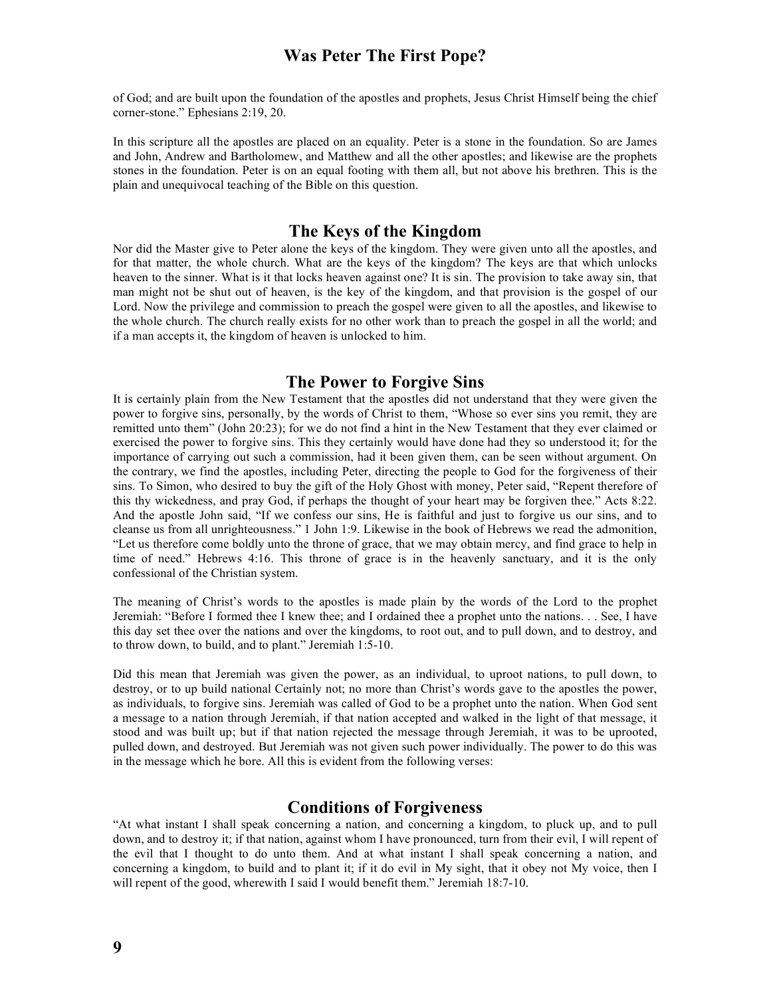of God; and are built upon the foundation of the apostles and prophets, Jesus Christ Himself being the chief corner-stone." Ephesians 2:19, 20.

In this scripture all the apostles are placed on an equality. Peter is a stone in the foundation. So are James and John, Andrew and Bartholomew, and Matthew and all the other apostles; and likewise are the prophets stones in the foundation. Peter is on an equal footing with them all, but not above his brethren. This is the plain and unequivocal teaching of the Bible on this question.

## **The Keys of the Kingdom**

Nor did the Master give to Peter alone the keys of the kingdom. They were given unto all the apostles, and for that matter, the whole church. What are the keys of the kingdom? The keys are that which unlocks heaven to the sinner. What is it that locks heaven against one? It is sin. The provision to take away sin, that man might not be shut out of heaven, is the key of the kingdom, and that provision is the gospel of our Lord. Now the privilege and commission to preach the gospel were given to all the apostles, and likewise to the whole church. The church really exists for no other work than to preach the gospel in all the world; and if a man accepts it, the kingdom of heaven is unlocked to him.

## **The Power to Forgive Sins**

It is certainly plain from the New Testament that the apostles did not understand that they were given the power to forgive sins, personally, by the words of Christ to them, "Whose so ever sins you remit, they are remitted unto them" (John 20:23); for we do not find a hint in the New Testament that they ever claimed or exercised the power to forgive sins. This they certainly would have done had they so understood it; for the importance of carrying out such a commission, had it been given them, can be seen without argument. On the contrary, we find the apostles, including Peter, directing the people to God for the forgiveness of their sins. To Simon, who desired to buy the gift of the Holy Ghost with money, Peter said, "Repent therefore of this thy wickedness, and pray God, if perhaps the thought of your heart may be forgiven thee." Acts 8:22. And the apostle John said, "If we confess our sins, He is faithful and just to forgive us our sins, and to cleanse us from all unrighteousness." 1 John 1:9. Likewise in the book of Hebrews we read the admonition, "Let us therefore come boldly unto the throne of grace, that we may obtain mercy, and find grace to help in time of need." Hebrews 4:16. This throne of grace is in the heavenly sanctuary, and it is the only confessional of the Christian system.

The meaning of Christ's words to the apostles is made plain by the words of the Lord to the prophet Jeremiah: "Before I formed thee I knew thee; and I ordained thee a prophet unto the nations. . . See, I have this day set thee over the nations and over the kingdoms, to root out, and to pull down, and to destroy, and to throw down, to build, and to plant." Jeremiah 1:5-10.

Did this mean that Jeremiah was given the power, as an individual, to uproot nations, to pull down, to destroy, or to up build national Certainly not; no more than Christ's words gave to the apostles the power, as individuals, to forgive sins. Jeremiah was called of God to be a prophet unto the nation. When God sent a message to a nation through Jeremiah, if that nation accepted and walked in the light of that message, it stood and was built up; but if that nation rejected the message through Jeremiah, it was to be uprooted, pulled down, and destroyed. But Jeremiah was not given such power individually. The power to do this was in the message which he bore. All this is evident from the following verses:

#### **Conditions of Forgiveness**

"At what instant I shall speak concerning a nation, and concerning a kingdom, to pluck up, and to pull down, and to destroy it; if that nation, against whom I have pronounced, turn from their evil, I will repent of the evil that I thought to do unto them. And at what instant I shall speak concerning a nation, and concerning a kingdom, to build and to plant it; if it do evil in My sight, that it obey not My voice, then I will repent of the good, wherewith I said I would benefit them." Jeremiah 18:7-10.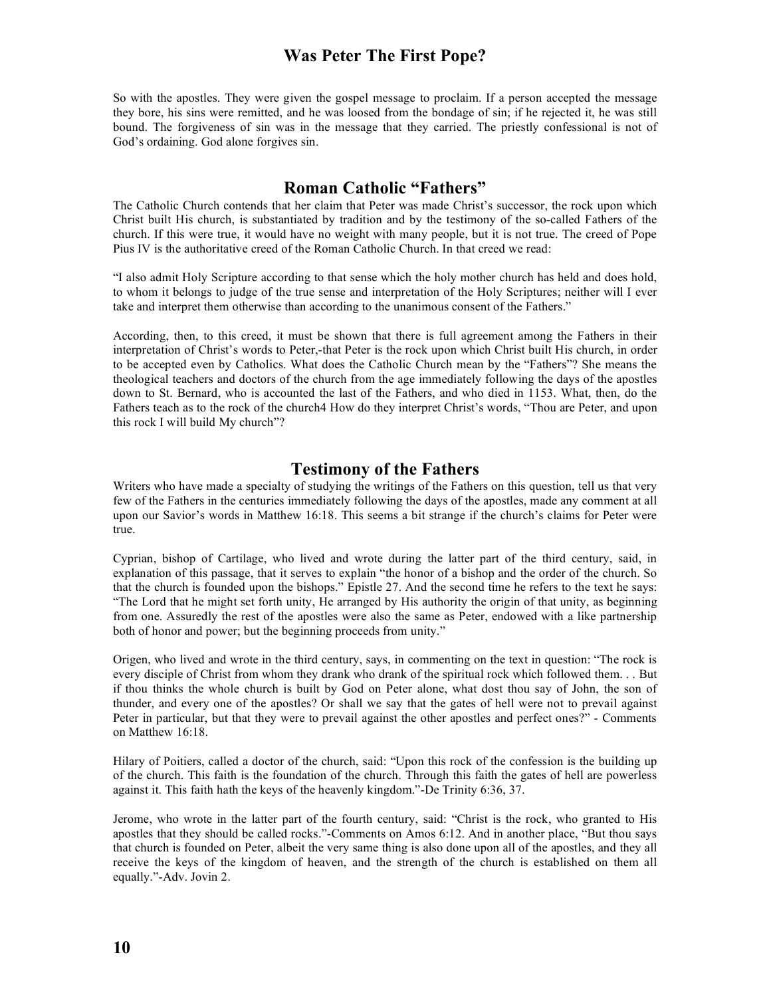So with the apostles. They were given the gospel message to proclaim. If a person accepted the message they bore, his sins were remitted, and he was loosed from the bondage of sin; if he rejected it, he was still bound. The forgiveness of sin was in the message that they carried. The priestly confessional is not of God's ordaining. God alone forgives sin.

## **Roman Catholic "Fathers"**

The Catholic Church contends that her claim that Peter was made Christ's successor, the rock upon which Christ built His church, is substantiated by tradition and by the testimony of the so-called Fathers of the church. If this were true, it would have no weight with many people, but it is not true. The creed of Pope Pius IV is the authoritative creed of the Roman Catholic Church. In that creed we read:

"I also admit Holy Scripture according to that sense which the holy mother church has held and does hold, to whom it belongs to judge of the true sense and interpretation of the Holy Scriptures; neither will I ever take and interpret them otherwise than according to the unanimous consent of the Fathers."

According, then, to this creed, it must be shown that there is full agreement among the Fathers in their interpretation of Christ's words to Peter,-that Peter is the rock upon which Christ built His church, in order to be accepted even by Catholics. What does the Catholic Church mean by the "Fathers"? She means the theological teachers and doctors of the church from the age immediately following the days of the apostles down to St. Bernard, who is accounted the last of the Fathers, and who died in 1153. What, then, do the Fathers teach as to the rock of the church4 How do they interpret Christ's words, "Thou are Peter, and upon this rock I will build My church"?

#### **Testimony of the Fathers**

Writers who have made a specialty of studying the writings of the Fathers on this question, tell us that very few of the Fathers in the centuries immediately following the days of the apostles, made any comment at all upon our Savior's words in Matthew 16:18. This seems a bit strange if the church's claims for Peter were true.

Cyprian, bishop of Cartilage, who lived and wrote during the latter part of the third century, said, in explanation of this passage, that it serves to explain "the honor of a bishop and the order of the church. So that the church is founded upon the bishops." Epistle 27. And the second time he refers to the text he says: "The Lord that he might set forth unity, He arranged by His authority the origin of that unity, as beginning from one. Assuredly the rest of the apostles were also the same as Peter, endowed with a like partnership both of honor and power; but the beginning proceeds from unity."

Origen, who lived and wrote in the third century, says, in commenting on the text in question: "The rock is every disciple of Christ from whom they drank who drank of the spiritual rock which followed them. . . But if thou thinks the whole church is built by God on Peter alone, what dost thou say of John, the son of thunder, and every one of the apostles? Or shall we say that the gates of hell were not to prevail against Peter in particular, but that they were to prevail against the other apostles and perfect ones?" - Comments on Matthew 16:18.

Hilary of Poitiers, called a doctor of the church, said: "Upon this rock of the confession is the building up of the church. This faith is the foundation of the church. Through this faith the gates of hell are powerless against it. This faith hath the keys of the heavenly kingdom."-De Trinity 6:36, 37.

Jerome, who wrote in the latter part of the fourth century, said: "Christ is the rock, who granted to His apostles that they should be called rocks."-Comments on Amos 6:12. And in another place, "But thou says that church is founded on Peter, albeit the very same thing is also done upon all of the apostles, and they all receive the keys of the kingdom of heaven, and the strength of the church is established on them all equally."-Adv. Jovin 2.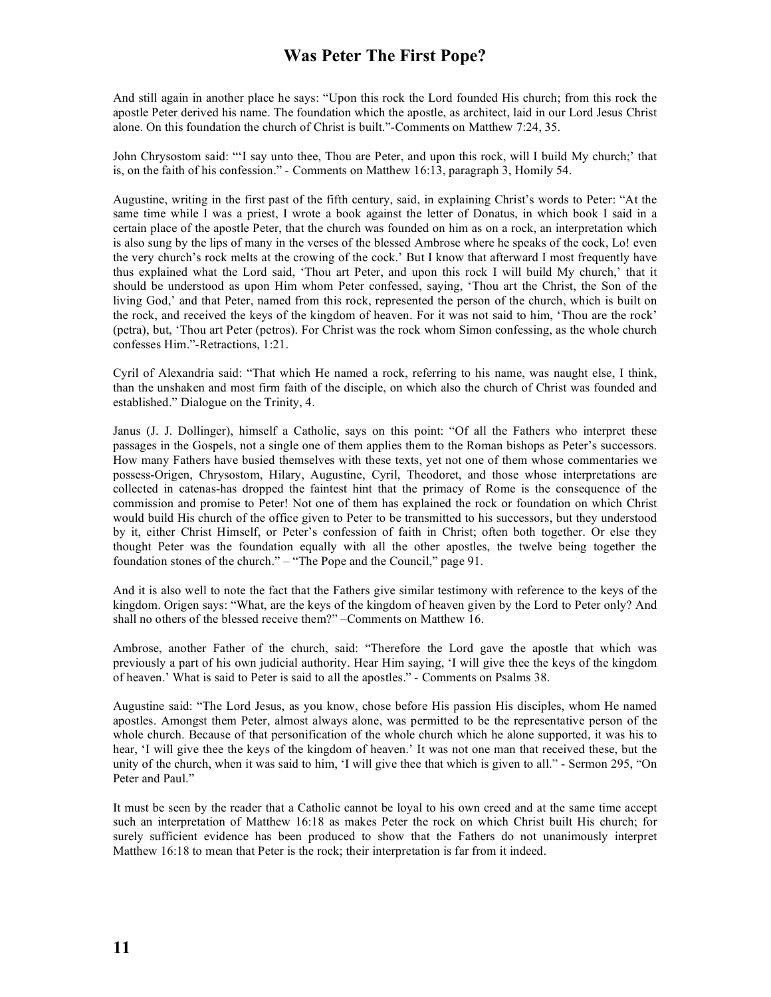And still again in another place he says: "Upon this rock the Lord founded His church; from this rock the apostle Peter derived his name. The foundation which the apostle, as architect, laid in our Lord Jesus Christ alone. On this foundation the church of Christ is built."-Comments on Matthew 7:24, 35.

John Chrysostom said: "'I say unto thee, Thou are Peter, and upon this rock, will I build My church;' that is, on the faith of his confession." - Comments on Matthew 16:13, paragraph 3, Homily 54.

Augustine, writing in the first past of the fifth century, said, in explaining Christ's words to Peter: "At the same time while I was a priest, I wrote a book against the letter of Donatus, in which book I said in a certain place of the apostle Peter, that the church was founded on him as on a rock, an interpretation which is also sung by the lips of many in the verses of the blessed Ambrose where he speaks of the cock, Lo! even the very church's rock melts at the crowing of the cock.' But I know that afterward I most frequently have thus explained what the Lord said, 'Thou art Peter, and upon this rock I will build My church,' that it should be understood as upon Him whom Peter confessed, saying, 'Thou art the Christ, the Son of the living God,' and that Peter, named from this rock, represented the person of the church, which is built on the rock, and received the keys of the kingdom of heaven. For it was not said to him, 'Thou are the rock' (petra), but, 'Thou art Peter (petros). For Christ was the rock whom Simon confessing, as the whole church confesses Him."-Retractions, 1:21.

Cyril of Alexandria said: "That which He named a rock, referring to his name, was naught else, I think, than the unshaken and most firm faith of the disciple, on which also the church of Christ was founded and established." Dialogue on the Trinity, 4.

Janus (J. J. Dollinger), himself a Catholic, says on this point: "Of all the Fathers who interpret these passages in the Gospels, not a single one of them applies them to the Roman bishops as Peter's successors. How many Fathers have busied themselves with these texts, yet not one of them whose commentaries we possess-Origen, Chrysostom, Hilary, Augustine, Cyril, Theodoret, and those whose interpretations are collected in catenas-has dropped the faintest hint that the primacy of Rome is the consequence of the commission and promise to Peter! Not one of them has explained the rock or foundation on which Christ would build His church of the office given to Peter to be transmitted to his successors, but they understood by it, either Christ Himself, or Peter's confession of faith in Christ; often both together. Or else they thought Peter was the foundation equally with all the other apostles, the twelve being together the foundation stones of the church." – "The Pope and the Council," page 91.

And it is also well to note the fact that the Fathers give similar testimony with reference to the keys of the kingdom. Origen says: "What, are the keys of the kingdom of heaven given by the Lord to Peter only? And shall no others of the blessed receive them?" –Comments on Matthew 16.

Ambrose, another Father of the church, said: "Therefore the Lord gave the apostle that which was previously a part of his own judicial authority. Hear Him saying, 'I will give thee the keys of the kingdom of heaven.' What is said to Peter is said to all the apostles." - Comments on Psalms 38.

Augustine said: "The Lord Jesus, as you know, chose before His passion His disciples, whom He named apostles. Amongst them Peter, almost always alone, was permitted to be the representative person of the whole church. Because of that personification of the whole church which he alone supported, it was his to hear, 'I will give thee the keys of the kingdom of heaven.' It was not one man that received these, but the unity of the church, when it was said to him, 'I will give thee that which is given to all." - Sermon 295, "On Peter and Paul."

It must be seen by the reader that a Catholic cannot be loyal to his own creed and at the same time accept such an interpretation of Matthew 16:18 as makes Peter the rock on which Christ built His church; for surely sufficient evidence has been produced to show that the Fathers do not unanimously interpret Matthew 16:18 to mean that Peter is the rock; their interpretation is far from it indeed.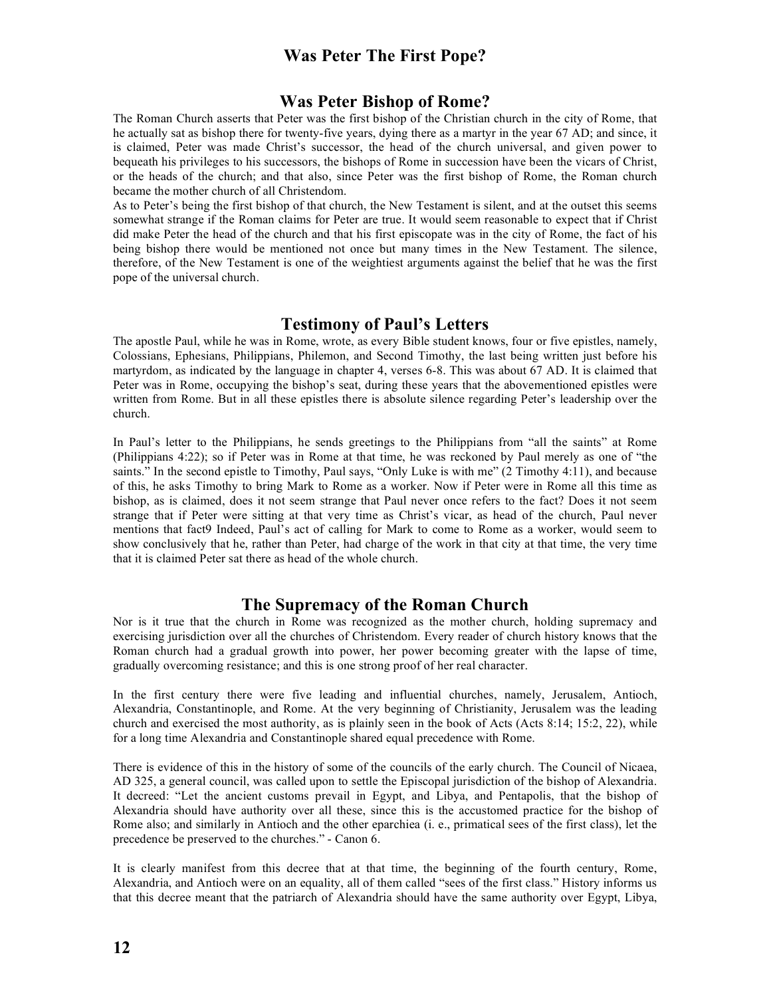## **Was Peter Bishop of Rome?**

The Roman Church asserts that Peter was the first bishop of the Christian church in the city of Rome, that he actually sat as bishop there for twenty-five years, dying there as a martyr in the year 67 AD; and since, it is claimed, Peter was made Christ's successor, the head of the church universal, and given power to bequeath his privileges to his successors, the bishops of Rome in succession have been the vicars of Christ, or the heads of the church; and that also, since Peter was the first bishop of Rome, the Roman church became the mother church of all Christendom.

As to Peter's being the first bishop of that church, the New Testament is silent, and at the outset this seems somewhat strange if the Roman claims for Peter are true. It would seem reasonable to expect that if Christ did make Peter the head of the church and that his first episcopate was in the city of Rome, the fact of his being bishop there would be mentioned not once but many times in the New Testament. The silence, therefore, of the New Testament is one of the weightiest arguments against the belief that he was the first pope of the universal church.

## **Testimony of Paul's Letters**

The apostle Paul, while he was in Rome, wrote, as every Bible student knows, four or five epistles, namely, Colossians, Ephesians, Philippians, Philemon, and Second Timothy, the last being written just before his martyrdom, as indicated by the language in chapter 4, verses 6-8. This was about 67 AD. It is claimed that Peter was in Rome, occupying the bishop's seat, during these years that the abovementioned epistles were written from Rome. But in all these epistles there is absolute silence regarding Peter's leadership over the church.

In Paul's letter to the Philippians, he sends greetings to the Philippians from "all the saints" at Rome (Philippians 4:22); so if Peter was in Rome at that time, he was reckoned by Paul merely as one of "the saints." In the second epistle to Timothy, Paul says, "Only Luke is with me" (2 Timothy 4:11), and because of this, he asks Timothy to bring Mark to Rome as a worker. Now if Peter were in Rome all this time as bishop, as is claimed, does it not seem strange that Paul never once refers to the fact? Does it not seem strange that if Peter were sitting at that very time as Christ's vicar, as head of the church, Paul never mentions that fact9 Indeed, Paul's act of calling for Mark to come to Rome as a worker, would seem to show conclusively that he, rather than Peter, had charge of the work in that city at that time, the very time that it is claimed Peter sat there as head of the whole church.

#### **The Supremacy of the Roman Church**

Nor is it true that the church in Rome was recognized as the mother church, holding supremacy and exercising jurisdiction over all the churches of Christendom. Every reader of church history knows that the Roman church had a gradual growth into power, her power becoming greater with the lapse of time, gradually overcoming resistance; and this is one strong proof of her real character.

In the first century there were five leading and influential churches, namely, Jerusalem, Antioch, Alexandria, Constantinople, and Rome. At the very beginning of Christianity, Jerusalem was the leading church and exercised the most authority, as is plainly seen in the book of Acts (Acts 8:14; 15:2, 22), while for a long time Alexandria and Constantinople shared equal precedence with Rome.

There is evidence of this in the history of some of the councils of the early church. The Council of Nicaea, AD 325, a general council, was called upon to settle the Episcopal jurisdiction of the bishop of Alexandria. It decreed: "Let the ancient customs prevail in Egypt, and Libya, and Pentapolis, that the bishop of Alexandria should have authority over all these, since this is the accustomed practice for the bishop of Rome also; and similarly in Antioch and the other eparchiea (i. e., primatical sees of the first class), let the precedence be preserved to the churches." - Canon 6.

It is clearly manifest from this decree that at that time, the beginning of the fourth century, Rome, Alexandria, and Antioch were on an equality, all of them called "sees of the first class." History informs us that this decree meant that the patriarch of Alexandria should have the same authority over Egypt, Libya,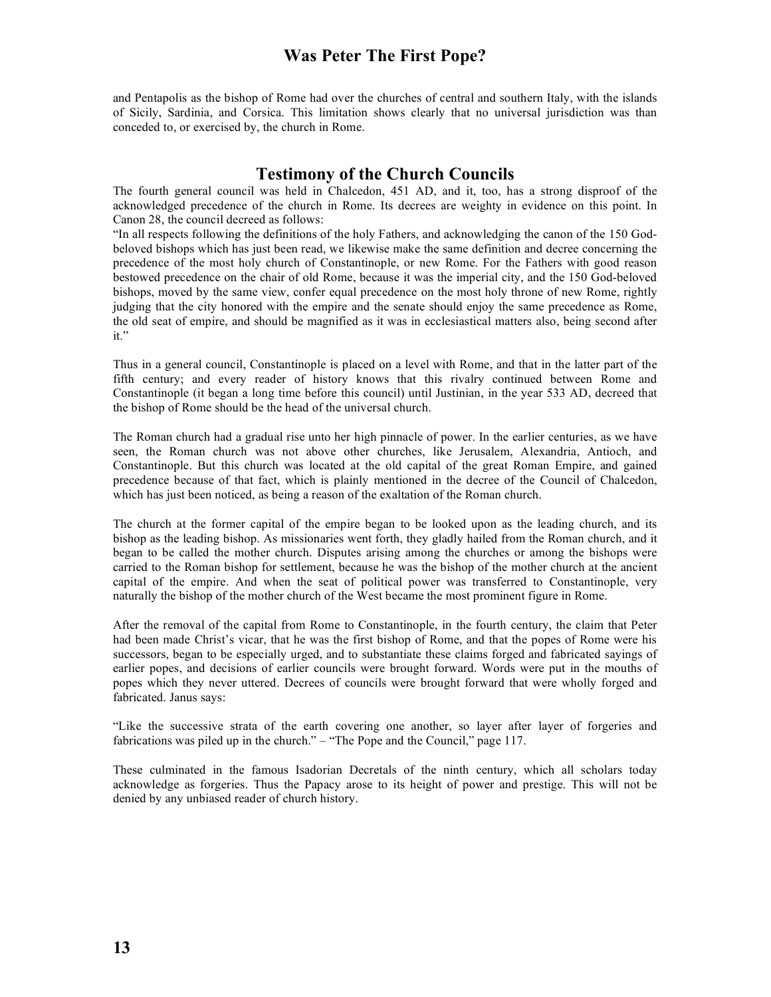and Pentapolis as the bishop of Rome had over the churches of central and southern Italy, with the islands of Sicily, Sardinia, and Corsica. This limitation shows clearly that no universal jurisdiction was than conceded to, or exercised by, the church in Rome.

## **Testimony of the Church Councils**

The fourth general council was held in Chalcedon, 451 AD, and it, too, has a strong disproof of the acknowledged precedence of the church in Rome. Its decrees are weighty in evidence on this point. In Canon 28, the council decreed as follows:

"In all respects following the definitions of the holy Fathers, and acknowledging the canon of the 150 Godbeloved bishops which has just been read, we likewise make the same definition and decree concerning the precedence of the most holy church of Constantinople, or new Rome. For the Fathers with good reason bestowed precedence on the chair of old Rome, because it was the imperial city, and the 150 God-beloved bishops, moved by the same view, confer equal precedence on the most holy throne of new Rome, rightly judging that the city honored with the empire and the senate should enjoy the same precedence as Rome, the old seat of empire, and should be magnified as it was in ecclesiastical matters also, being second after it."

Thus in a general council, Constantinople is placed on a level with Rome, and that in the latter part of the fifth century; and every reader of history knows that this rivalry continued between Rome and Constantinople (it began a long time before this council) until Justinian, in the year 533 AD, decreed that the bishop of Rome should be the head of the universal church.

The Roman church had a gradual rise unto her high pinnacle of power. In the earlier centuries, as we have seen, the Roman church was not above other churches, like Jerusalem, Alexandria, Antioch, and Constantinople. But this church was located at the old capital of the great Roman Empire, and gained precedence because of that fact, which is plainly mentioned in the decree of the Council of Chalcedon, which has just been noticed, as being a reason of the exaltation of the Roman church.

The church at the former capital of the empire began to be looked upon as the leading church, and its bishop as the leading bishop. As missionaries went forth, they gladly hailed from the Roman church, and it began to be called the mother church. Disputes arising among the churches or among the bishops were carried to the Roman bishop for settlement, because he was the bishop of the mother church at the ancient capital of the empire. And when the seat of political power was transferred to Constantinople, very naturally the bishop of the mother church of the West became the most prominent figure in Rome.

After the removal of the capital from Rome to Constantinople, in the fourth century, the claim that Peter had been made Christ's vicar, that he was the first bishop of Rome, and that the popes of Rome were his successors, began to be especially urged, and to substantiate these claims forged and fabricated sayings of earlier popes, and decisions of earlier councils were brought forward. Words were put in the mouths of popes which they never uttered. Decrees of councils were brought forward that were wholly forged and fabricated. Janus says:

"Like the successive strata of the earth covering one another, so layer after layer of forgeries and fabrications was piled up in the church." – "The Pope and the Council," page 117.

These culminated in the famous Isadorian Decretals of the ninth century, which all scholars today acknowledge as forgeries. Thus the Papacy arose to its height of power and prestige. This will not be denied by any unbiased reader of church history.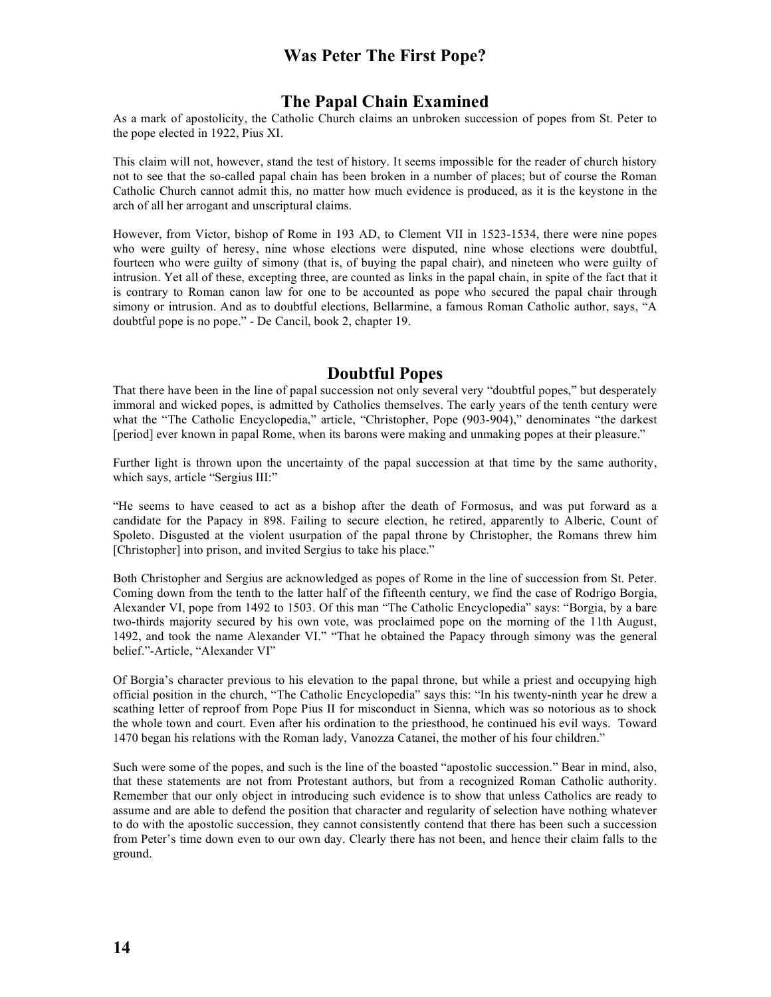## **The Papal Chain Examined**

As a mark of apostolicity, the Catholic Church claims an unbroken succession of popes from St. Peter to the pope elected in 1922, Pius XI.

This claim will not, however, stand the test of history. It seems impossible for the reader of church history not to see that the so-called papal chain has been broken in a number of places; but of course the Roman Catholic Church cannot admit this, no matter how much evidence is produced, as it is the keystone in the arch of all her arrogant and unscriptural claims.

However, from Victor, bishop of Rome in 193 AD, to Clement VII in 1523-1534, there were nine popes who were guilty of heresy, nine whose elections were disputed, nine whose elections were doubtful, fourteen who were guilty of simony (that is, of buying the papal chair), and nineteen who were guilty of intrusion. Yet all of these, excepting three, are counted as links in the papal chain, in spite of the fact that it is contrary to Roman canon law for one to be accounted as pope who secured the papal chair through simony or intrusion. And as to doubtful elections, Bellarmine, a famous Roman Catholic author, says, "A doubtful pope is no pope." - De Cancil, book 2, chapter 19.

#### **Doubtful Popes**

That there have been in the line of papal succession not only several very "doubtful popes," but desperately immoral and wicked popes, is admitted by Catholics themselves. The early years of the tenth century were what the "The Catholic Encyclopedia," article, "Christopher, Pope (903-904)," denominates "the darkest [period] ever known in papal Rome, when its barons were making and unmaking popes at their pleasure."

Further light is thrown upon the uncertainty of the papal succession at that time by the same authority, which says, article "Sergius III:"

"He seems to have ceased to act as a bishop after the death of Formosus, and was put forward as a candidate for the Papacy in 898. Failing to secure election, he retired, apparently to Alberic, Count of Spoleto. Disgusted at the violent usurpation of the papal throne by Christopher, the Romans threw him [Christopher] into prison, and invited Sergius to take his place."

Both Christopher and Sergius are acknowledged as popes of Rome in the line of succession from St. Peter. Coming down from the tenth to the latter half of the fifteenth century, we find the case of Rodrigo Borgia, Alexander VI, pope from 1492 to 1503. Of this man "The Catholic Encyclopedia" says: "Borgia, by a bare two-thirds majority secured by his own vote, was proclaimed pope on the morning of the 11th August, 1492, and took the name Alexander VI." "That he obtained the Papacy through simony was the general belief."-Article, "Alexander VI"

Of Borgia's character previous to his elevation to the papal throne, but while a priest and occupying high official position in the church, "The Catholic Encyclopedia" says this: "In his twenty-ninth year he drew a scathing letter of reproof from Pope Pius II for misconduct in Sienna, which was so notorious as to shock the whole town and court. Even after his ordination to the priesthood, he continued his evil ways. Toward 1470 began his relations with the Roman lady, Vanozza Catanei, the mother of his four children."

Such were some of the popes, and such is the line of the boasted "apostolic succession." Bear in mind, also, that these statements are not from Protestant authors, but from a recognized Roman Catholic authority. Remember that our only object in introducing such evidence is to show that unless Catholics are ready to assume and are able to defend the position that character and regularity of selection have nothing whatever to do with the apostolic succession, they cannot consistently contend that there has been such a succession from Peter's time down even to our own day. Clearly there has not been, and hence their claim falls to the ground.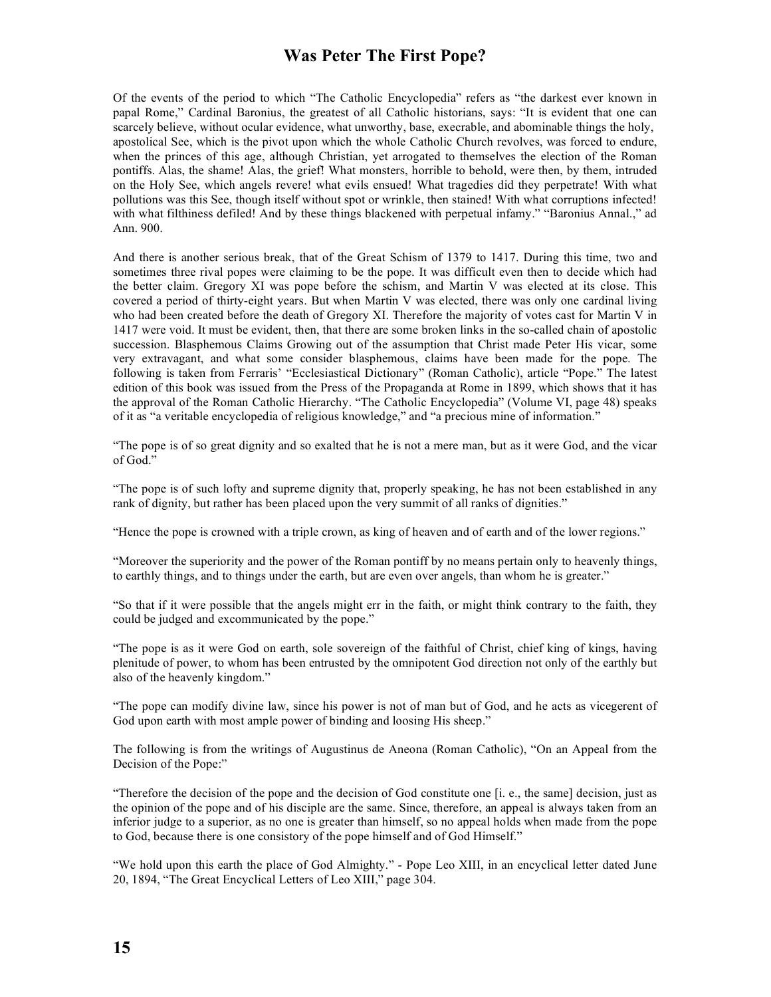Of the events of the period to which "The Catholic Encyclopedia" refers as "the darkest ever known in papal Rome," Cardinal Baronius, the greatest of all Catholic historians, says: "It is evident that one can scarcely believe, without ocular evidence, what unworthy, base, execrable, and abominable things the holy, apostolical See, which is the pivot upon which the whole Catholic Church revolves, was forced to endure, when the princes of this age, although Christian, yet arrogated to themselves the election of the Roman pontiffs. Alas, the shame! Alas, the grief! What monsters, horrible to behold, were then, by them, intruded on the Holy See, which angels revere! what evils ensued! What tragedies did they perpetrate! With what pollutions was this See, though itself without spot or wrinkle, then stained! With what corruptions infected! with what filthiness defiled! And by these things blackened with perpetual infamy." "Baronius Annal.," ad Ann. 900.

And there is another serious break, that of the Great Schism of 1379 to 1417. During this time, two and sometimes three rival popes were claiming to be the pope. It was difficult even then to decide which had the better claim. Gregory XI was pope before the schism, and Martin V was elected at its close. This covered a period of thirty-eight years. But when Martin V was elected, there was only one cardinal living who had been created before the death of Gregory XI. Therefore the majority of votes cast for Martin V in 1417 were void. It must be evident, then, that there are some broken links in the so-called chain of apostolic succession. Blasphemous Claims Growing out of the assumption that Christ made Peter His vicar, some very extravagant, and what some consider blasphemous, claims have been made for the pope. The following is taken from Ferraris' "Ecclesiastical Dictionary" (Roman Catholic), article "Pope." The latest edition of this book was issued from the Press of the Propaganda at Rome in 1899, which shows that it has the approval of the Roman Catholic Hierarchy. "The Catholic Encyclopedia" (Volume VI, page 48) speaks of it as "a veritable encyclopedia of religious knowledge," and "a precious mine of information."

"The pope is of so great dignity and so exalted that he is not a mere man, but as it were God, and the vicar of God."

"The pope is of such lofty and supreme dignity that, properly speaking, he has not been established in any rank of dignity, but rather has been placed upon the very summit of all ranks of dignities."

"Hence the pope is crowned with a triple crown, as king of heaven and of earth and of the lower regions."

"Moreover the superiority and the power of the Roman pontiff by no means pertain only to heavenly things, to earthly things, and to things under the earth, but are even over angels, than whom he is greater."

"So that if it were possible that the angels might err in the faith, or might think contrary to the faith, they could be judged and excommunicated by the pope."

"The pope is as it were God on earth, sole sovereign of the faithful of Christ, chief king of kings, having plenitude of power, to whom has been entrusted by the omnipotent God direction not only of the earthly but also of the heavenly kingdom."

"The pope can modify divine law, since his power is not of man but of God, and he acts as vicegerent of God upon earth with most ample power of binding and loosing His sheep."

The following is from the writings of Augustinus de Aneona (Roman Catholic), "On an Appeal from the Decision of the Pope:"

"Therefore the decision of the pope and the decision of God constitute one [i. e., the same] decision, just as the opinion of the pope and of his disciple are the same. Since, therefore, an appeal is always taken from an inferior judge to a superior, as no one is greater than himself, so no appeal holds when made from the pope to God, because there is one consistory of the pope himself and of God Himself."

"We hold upon this earth the place of God Almighty." - Pope Leo XIII, in an encyclical letter dated June 20, 1894, "The Great Encyclical Letters of Leo XIII," page 304.